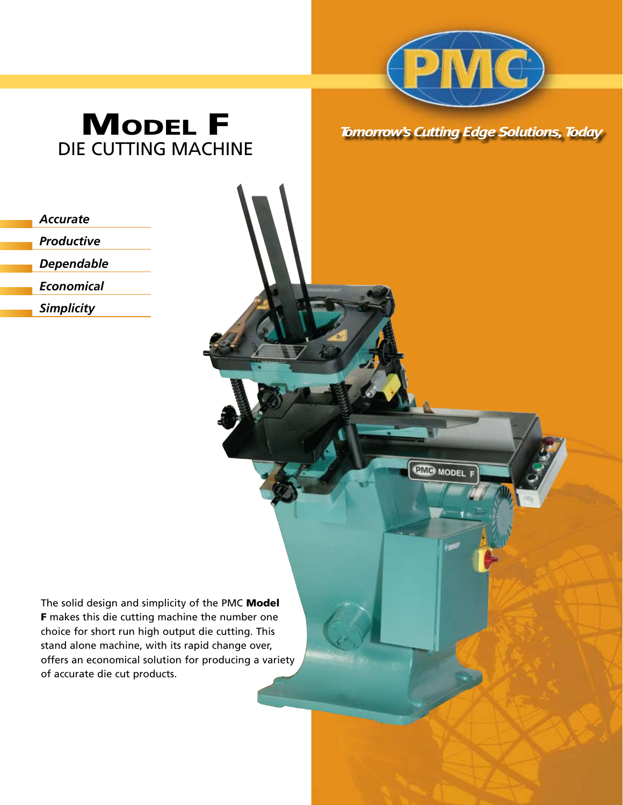

## **MODEL F** DIE CUTTING MACHINE

| <b>Tomorrow's Cutting Edge Solutions, Today</b> |  |  |
|-------------------------------------------------|--|--|
|                                                 |  |  |

**PMB** MODE

| <b>Accurate</b>   |
|-------------------|
| Productive        |
| Dependable        |
| Economical        |
| <b>Simplicity</b> |
|                   |

The solid design and simplicity of the PMC Model F makes this die cutting machine the number one choice for short run high output die cutting. This stand alone machine, with its rapid change over, offers an economical solution for producing a variety of accurate die cut products.